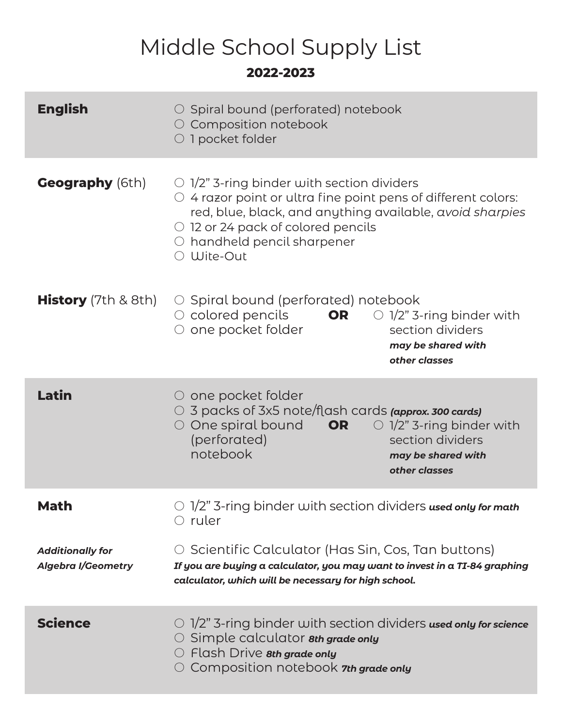## Middle School Supply List **2022-2023**

| <b>English</b>                                       | $\circ$ Spiral bound (perforated) notebook<br>○ Composition notebook<br>O 1 pocket folder                                                                                                                                                                                                                  |
|------------------------------------------------------|------------------------------------------------------------------------------------------------------------------------------------------------------------------------------------------------------------------------------------------------------------------------------------------------------------|
| <b>Geography</b> (6th)                               | $\circ$ 1/2" 3-ring binder with section dividers<br>$\circlearrowright$ 4 razor point or ultra fine point pens of different colors:<br>red, blue, black, and anything available, avoid sharpies<br>$\circ$ 12 or 24 pack of colored pencils<br>$\circlearrowright$ handheld pencil sharpener<br>○ Wite-Out |
| <b>History</b> (7th $& 8th$ )                        | $\circ$ Spiral bound (perforated) notebook<br>$\circ$ colored pencils<br>OR<br>$\bigcirc$ 1/2" 3-ring binder with<br>$\circ$ one pocket folder<br>section dividers<br>may be shared with<br>other classes                                                                                                  |
| Latin                                                | $\circ$ one pocket folder<br>$\circlearrowright$ 3 packs of 3x5 note/flash cards (approx. 300 cards)<br>$\circlearrowright$ One spiral bound<br>$\circ$ 1/2" 3-ring binder with<br>OR<br>(perforated)<br>section dividers<br>notebook<br>may be shared with<br>other classes                               |
| Math                                                 | $\circ$ 1/2" 3-ring binder with section dividers used only for math<br>$\circlearrowright$ ruler                                                                                                                                                                                                           |
| <b>Additionally for</b><br><b>Algebra I/Geometry</b> | $\circ$ Scientific Calculator (Has Sin, Cos, Tan buttons)<br>If you are buying a calculator, you may want to invest in a TI-84 graphing<br>calculator, which will be necessary for high school.                                                                                                            |
| <b>Science</b>                                       | $\circ$ 1/2" 3-ring binder with section dividers used only for science<br>O Simple calculator 8th grade only<br>$\circlearrowright$ Flash Drive $\mathbf{\mathit{sth}}$ grade only<br>$\circlearrowright$ Composition notebook $\tau$ th grade only                                                        |